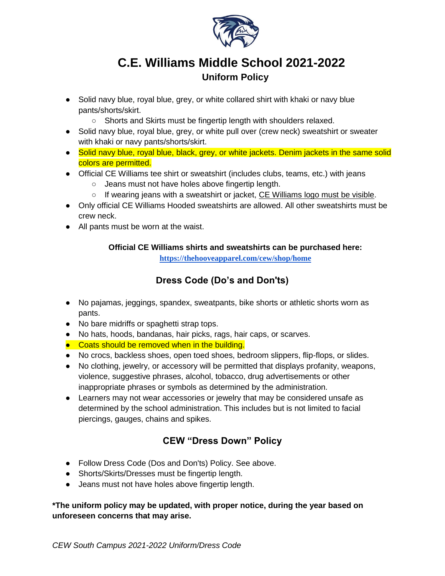

# **C.E. Williams Middle School 2021-2022 Uniform Policy**

- Solid navy blue, royal blue, grey, or white collared shirt with khaki or navy blue pants/shorts/skirt.
	- Shorts and Skirts must be fingertip length with shoulders relaxed.
- Solid navy blue, royal blue, grey, or white pull over (crew neck) sweatshirt or sweater with khaki or navy pants/shorts/skirt.
- Solid navy blue, royal blue, black, grey, or white jackets. Denim jackets in the same solid colors are permitted.
- Official CE Williams tee shirt or sweatshirt (includes clubs, teams, etc.) with jeans
	- Jeans must not have holes above fingertip length.
	- $\circ$  If wearing jeans with a sweatshirt or jacket, CE Williams logo must be visible.
- Only official CE Williams Hooded sweatshirts are allowed. All other sweatshirts must be crew neck.
- All pants must be worn at the waist.

### **Official CE Williams shirts and sweatshirts can be purchased here:**

**<https://thehooveapparel.com/cew/shop/home>**

### **Dress Code (Do's and Don'ts)**

- No pajamas, jeggings, spandex, sweatpants, bike shorts or athletic shorts worn as pants.
- No bare midriffs or spaghetti strap tops.
- No hats, hoods, bandanas, hair picks, rags, hair caps, or scarves.
- Coats should be removed when in the building.
- No crocs, backless shoes, open toed shoes, bedroom slippers, flip-flops, or slides.
- No clothing, jewelry, or accessory will be permitted that displays profanity, weapons, violence, suggestive phrases, alcohol, tobacco, drug advertisements or other inappropriate phrases or symbols as determined by the administration.
- Learners may not wear accessories or jewelry that may be considered unsafe as determined by the school administration. This includes but is not limited to facial piercings, gauges, chains and spikes.

### **CEW "Dress Down" Policy**

- Follow Dress Code (Dos and Don'ts) Policy. See above.
- Shorts/Skirts/Dresses must be fingertip length.
- Jeans must not have holes above fingertip length.

#### **\*The uniform policy may be updated, with proper notice, during the year based on unforeseen concerns that may arise.**